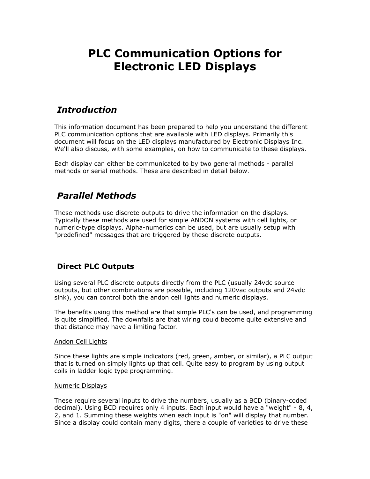# **PLC Communication Options for Electronic LED Displays**

### *Introduction*

This information document has been prepared to help you understand the different PLC communication options that are available with LED displays. Primarily this document will focus on the LED displays manufactured by Electronic Displays Inc. We'll also discuss, with some examples, on how to communicate to these displays.

Each display can either be communicated to by two general methods - parallel methods or serial methods. These are described in detail below.

# *Parallel Methods*

These methods use discrete outputs to drive the information on the displays. Typically these methods are used for simple ANDON systems with cell lights, or numeric-type displays. Alpha-numerics can be used, but are usually setup with "predefined" messages that are triggered by these discrete outputs.

### **Direct PLC Outputs**

Using several PLC discrete outputs directly from the PLC (usually 24vdc source outputs, but other combinations are possible, including 120vac outputs and 24vdc sink), you can control both the andon cell lights and numeric displays.

The benefits using this method are that simple PLC's can be used, and programming is quite simplified. The downfalls are that wiring could become quite extensive and that distance may have a limiting factor.

#### Andon Cell Lights

Since these lights are simple indicators (red, green, amber, or similar), a PLC output that is turned on simply lights up that cell. Quite easy to program by using output coils in ladder logic type programming.

#### Numeric Displays

These require several inputs to drive the numbers, usually as a BCD (binary-coded decimal). Using BCD requires only 4 inputs. Each input would have a "weight" - 8, 4, 2, and 1. Summing these weights when each input is "on" will display that number. Since a display could contain many digits, there a couple of varieties to drive these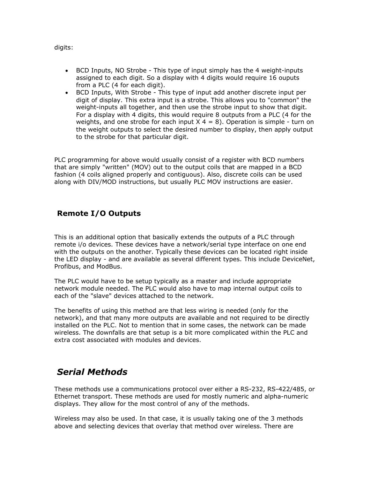digits:

- BCD Inputs, NO Strobe This type of input simply has the 4 weight-inputs assigned to each digit. So a display with 4 digits would require 16 ouputs from a PLC (4 for each digit).
- BCD Inputs, With Strobe This type of input add another discrete input per digit of display. This extra input is a strobe. This allows you to "common" the weight-inputs all together, and then use the strobe input to show that digit. For a display with 4 digits, this would require 8 outputs from a PLC (4 for the weights, and one strobe for each input  $X$  4 = 8). Operation is simple - turn on the weight outputs to select the desired number to display, then apply output to the strobe for that particular digit.

PLC programming for above would usually consist of a register with BCD numbers that are simply "written" (MOV) out to the output coils that are mapped in a BCD fashion (4 coils aligned properly and contiguous). Also, discrete coils can be used along with DIV/MOD instructions, but usually PLC MOV instructions are easier.

#### **Remote I/O Outputs**

This is an additional option that basically extends the outputs of a PLC through remote i/o devices. These devices have a network/serial type interface on one end with the outputs on the another. Typically these devices can be located right inside the LED display - and are available as several different types. This include DeviceNet, Profibus, and ModBus.

The PLC would have to be setup typically as a master and include appropriate network module needed. The PLC would also have to map internal output coils to each of the "slave" devices attached to the network.

The benefits of using this method are that less wiring is needed (only for the network), and that many more outputs are available and not required to be directly installed on the PLC. Not to mention that in some cases, the network can be made wireless. The downfalls are that setup is a bit more complicated within the PLC and extra cost associated with modules and devices.

## *Serial Methods*

These methods use a communications protocol over either a RS-232, RS-422/485, or Ethernet transport. These methods are used for mostly numeric and alpha-numeric displays. They allow for the most control of any of the methods.

Wireless may also be used. In that case, it is usually taking one of the 3 methods above and selecting devices that overlay that method over wireless. There are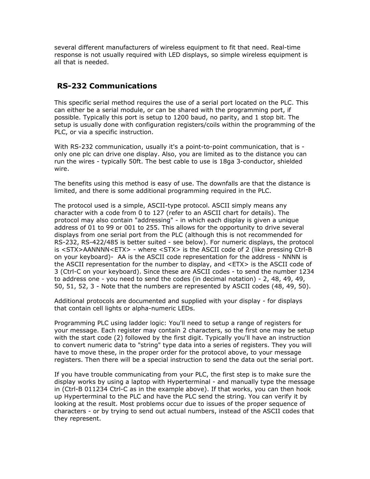several different manufacturers of wireless equipment to fit that need. Real-time response is not usually required with LED displays, so simple wireless equipment is all that is needed.

### **RS-232 Communications**

This specific serial method requires the use of a serial port located on the PLC. This can either be a serial module, or can be shared with the programming port, if possible. Typically this port is setup to 1200 baud, no parity, and 1 stop bit. The setup is usually done with configuration registers/coils within the programming of the PLC, or via a specific instruction.

With RS-232 communication, usually it's a point-to-point communication, that is only one plc can drive one display. Also, you are limited as to the distance you can run the wires - typically 50ft. The best cable to use is 18ga 3-conductor, shielded wire.

The benefits using this method is easy of use. The downfalls are that the distance is limited, and there is some additional programming required in the PLC.

The protocol used is a simple, ASCII-type protocol. ASCII simply means any character with a code from 0 to 127 (refer to an ASCII chart for details). The protocol may also contain "addressing" - in which each display is given a unique address of 01 to 99 or 001 to 255. This allows for the opportunity to drive several displays from one serial port from the PLC (although this is not recommended for RS-232, RS-422/485 is better suited - see below). For numeric displays, the protocol is <STX>AANNNN<ETX> - where <STX> is the ASCII code of 2 (like pressing Ctrl-B on your keyboard)- AA is the ASCII code representation for the address - NNNN is the ASCII representation for the number to display, and <ETX> is the ASCII code of 3 (Ctrl-C on your keyboard). Since these are ASCII codes - to send the number 1234 to address one - you need to send the codes (in decimal notation) - 2, 48, 49, 49, 50, 51, 52, 3 - Note that the numbers are represented by ASCII codes (48, 49, 50).

Additional protocols are documented and supplied with your display - for displays that contain cell lights or alpha-numeric LEDs.

Programming PLC using ladder logic: You'll need to setup a range of registers for your message. Each register may contain 2 characters, so the first one may be setup with the start code (2) followed by the first digit. Typically you'll have an instruction to convert numeric data to "string" type data into a series of registers. They you will have to move these, in the proper order for the protocol above, to your message registers. Then there will be a special instruction to send the data out the serial port.

If you have trouble communicating from your PLC, the first step is to make sure the display works by using a laptop with Hyperterminal - and manually type the message in (Ctrl-B 011234 Ctrl-C as in the example above). If that works, you can then hook up Hyperterminal to the PLC and have the PLC send the string. You can verify it by looking at the result. Most problems occur due to issues of the proper sequence of characters - or by trying to send out actual numbers, instead of the ASCII codes that they represent.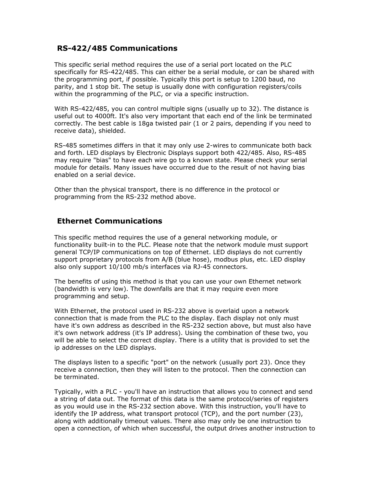#### **RS-422/485 Communications**

This specific serial method requires the use of a serial port located on the PLC specifically for RS-422/485. This can either be a serial module, or can be shared with the programming port, if possible. Typically this port is setup to 1200 baud, no parity, and 1 stop bit. The setup is usually done with configuration registers/coils within the programming of the PLC, or via a specific instruction.

With RS-422/485, you can control multiple signs (usually up to 32). The distance is useful out to 4000ft. It's also very important that each end of the link be terminated correctly. The best cable is 18ga twisted pair (1 or 2 pairs, depending if you need to receive data), shielded.

RS-485 sometimes differs in that it may only use 2-wires to communicate both back and forth. LED displays by Electronic Displays support both 422/485. Also, RS-485 may require "bias" to have each wire go to a known state. Please check your serial module for details. Many issues have occurred due to the result of not having bias enabled on a serial device.

Other than the physical transport, there is no difference in the protocol or programming from the RS-232 method above.

#### **Ethernet Communications**

This specific method requires the use of a general networking module, or functionality built-in to the PLC. Please note that the network module must support general TCP/IP communications on top of Ethernet. LED displays do not currently support proprietary protocols from A/B (blue hose), modbus plus, etc. LED display also only support 10/100 mb/s interfaces via RJ-45 connectors.

The benefits of using this method is that you can use your own Ethernet network (bandwidth is very low). The downfalls are that it may require even more programming and setup.

With Ethernet, the protocol used in RS-232 above is overlaid upon a network connection that is made from the PLC to the display. Each display not only must have it's own address as described in the RS-232 section above, but must also have it's own network address (it's IP address). Using the combination of these two, you will be able to select the correct display. There is a utility that is provided to set the ip addresses on the LED displays.

The displays listen to a specific "port" on the network (usually port 23). Once they receive a connection, then they will listen to the protocol. Then the connection can be terminated.

Typically, with a PLC - you'll have an instruction that allows you to connect and send a string of data out. The format of this data is the same protocol/series of registers as you would use in the RS-232 section above. With this instruction, you'll have to identify the IP address, what transport protocol (TCP), and the port number (23), along with additionally timeout values. There also may only be one instruction to open a connection, of which when successful, the output drives another instruction to